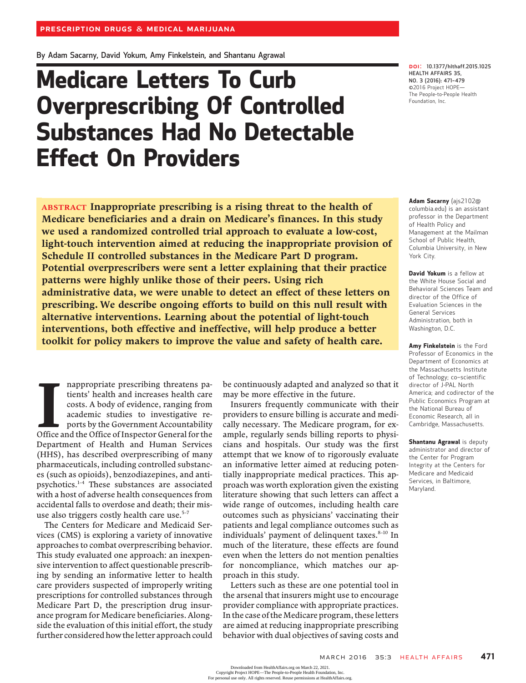By Adam Sacarny, David Yokum, Amy Finkelstein, and Shantanu Agrawal

# Medicare Letters To Curb Overprescribing Of Controlled Substances Had No Detectable Effect On Providers

DOI: 10.1377/hlthaff.2015.1025 HEALTH AFFAIRS 35, <mark>DOI</mark>: 10.1377/hlthaff<br>HEALTH AFFAIRS 35,<br>NO. 3 (2016): 471–479 NO. 3 (2016): 471-479<br>©2016 Project HOPE— The People-to-People Health Foundation, Inc.

ABSTRACT Inappropriate prescribing is a rising threat to the health of Medicare beneficiaries and a drain on Medicare's finances. In this study we used a randomized controlled trial approach to evaluate a low-cost, light-touch intervention aimed at reducing the inappropriate provision of Schedule II controlled substances in the Medicare Part D program. Potential overprescribers were sent a letter explaining that their practice patterns were highly unlike those of their peers. Using rich administrative data, we were unable to detect an effect of these letters on prescribing. We describe ongoing efforts to build on this null result with alternative interventions. Learning about the potential of light-touch interventions, both effective and ineffective, will help produce a better toolkit for policy makers to improve the value and safety of health care.

nappropriate prescribing threatens patients' health and increases health care<br>costs. A body of evidence, ranging from<br>academic studies to investigative re-<br>ports by the Government Accountability<br>Office and the Office of In nappropriate prescribing threatens patients' health and increases health care costs. A body of evidence, ranging from academic studies to investigative reports by the Government Accountability Department of Health and Human Services (HHS), has described overprescribing of many pharmaceuticals, including controlled substances (such as opioids), benzodiazepines, and antipsychotics.1–<sup>4</sup> These substances are associated with a host of adverse health consequences from accidental falls to overdose and death; their misuse also triggers costly health care use. $5-7$ 

The Centers for Medicare and Medicaid Services (CMS) is exploring a variety of innovative approaches to combat overprescribing behavior. This study evaluated one approach: an inexpensive intervention to affect questionable prescribing by sending an informative letter to health care providers suspected of improperly writing prescriptions for controlled substances through Medicare Part D, the prescription drug insurance program for Medicare beneficiaries. Alongside the evaluation of this initial effort, the study further considered how the letter approach could

be continuously adapted and analyzed so that it may be more effective in the future.

Insurers frequently communicate with their providers to ensure billing is accurate and medically necessary. The Medicare program, for example, regularly sends billing reports to physicians and hospitals. Our study was the first attempt that we know of to rigorously evaluate an informative letter aimed at reducing potentially inappropriate medical practices. This approach was worth exploration given the existing literature showing that such letters can affect a wide range of outcomes, including health care outcomes such as physicians' vaccinating their patients and legal compliance outcomes such as individuals' payment of delinquent taxes. $8-10$  In much of the literature, these effects are found even when the letters do not mention penalties for noncompliance, which matches our approach in this study.

Letters such as these are one potential tool in the arsenal that insurers might use to encourage provider compliance with appropriate practices. In the case of the Medicare program, these letters are aimed at reducing inappropriate prescribing behavior with dual objectives of saving costs and Adam Sacarny (ajs2102@ columbia.edu) is an assistant professor in the Department of Health Policy and Management at the Mailman School of Public Health, Columbia University, in New York City.

David Yokum is a fellow at the White House Social and Behavioral Sciences Team and director of the Office of Evaluation Sciences in the General Services Administration, both in Washington, D.C.

Amy Finkelstein is the Ford Professor of Economics in the Department of Economics at the Massachusetts Institute of Technology; co–scientific director of J-PAL North America; and codirector of the Public Economics Program at the National Bureau of Economic Research, all in Cambridge, Massachusetts.

Shantanu Agrawal is deputy administrator and director of the Center for Program Integrity at the Centers for Medicare and Medicaid Services, in Baltimore, Maryland.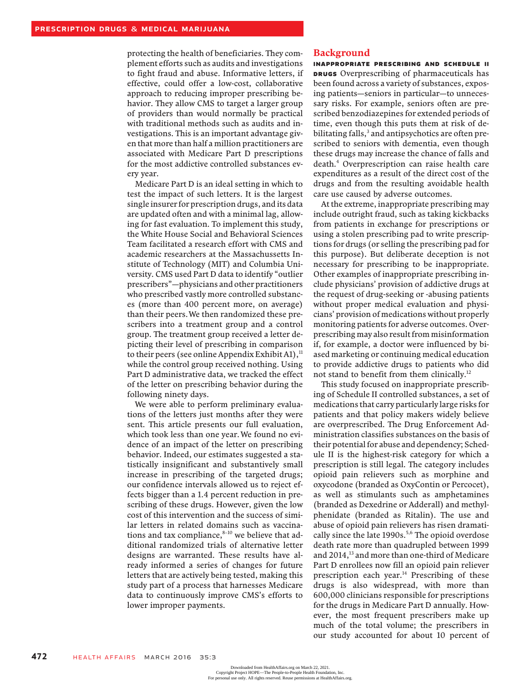protecting the health of beneficiaries. They complement efforts such as audits and investigations to fight fraud and abuse. Informative letters, if effective, could offer a low-cost, collaborative approach to reducing improper prescribing behavior. They allow CMS to target a larger group of providers than would normally be practical with traditional methods such as audits and investigations. This is an important advantage given that more than half a million practitioners are associated with Medicare Part D prescriptions for the most addictive controlled substances every year.

Medicare Part D is an ideal setting in which to test the impact of such letters. It is the largest single insurer for prescription drugs, and its data are updated often and with a minimal lag, allowing for fast evaluation. To implement this study, the White House Social and Behavioral Sciences Team facilitated a research effort with CMS and academic researchers at the Massachussetts Institute of Technology (MIT) and Columbia University. CMS used Part D data to identify "outlier prescribers"—physicians and other practitioners who prescribed vastly more controlled substances (more than 400 percent more, on average) than their peers.We then randomized these prescribers into a treatment group and a control group. The treatment group received a letter depicting their level of prescribing in comparison to their peers (see online Appendix Exhibit A1), $<sup>11</sup>$ </sup> while the control group received nothing. Using Part D administrative data, we tracked the effect of the letter on prescribing behavior during the following ninety days.

We were able to perform preliminary evaluations of the letters just months after they were sent. This article presents our full evaluation, which took less than one year.We found no evidence of an impact of the letter on prescribing behavior. Indeed, our estimates suggested a statistically insignificant and substantively small increase in prescribing of the targeted drugs; our confidence intervals allowed us to reject effects bigger than a 1.4 percent reduction in prescribing of these drugs. However, given the low cost of this intervention and the success of similar letters in related domains such as vaccinations and tax compliance, $8-10$  we believe that additional randomized trials of alternative letter designs are warranted. These results have already informed a series of changes for future letters that are actively being tested, making this study part of a process that harnesses Medicare data to continuously improve CMS's efforts to lower improper payments.

## Background

Inappropriate Prescribing And Schedule II Drugs Overprescribing of pharmaceuticals has been found across a variety of substances, exposing patients—seniors in particular—to unnecessary risks. For example, seniors often are prescribed benzodiazepines for extended periods of time, even though this puts them at risk of debilitating falls, $3$  and antipsychotics are often prescribed to seniors with dementia, even though these drugs may increase the chance of falls and death.4 Overprescription can raise health care expenditures as a result of the direct cost of the drugs and from the resulting avoidable health care use caused by adverse outcomes.

At the extreme, inappropriate prescribing may include outright fraud, such as taking kickbacks from patients in exchange for prescriptions or using a stolen prescribing pad to write prescriptions for drugs (or selling the prescribing pad for this purpose). But deliberate deception is not necessary for prescribing to be inappropriate. Other examples of inappropriate prescribing include physicians' provision of addictive drugs at the request of drug-seeking or -abusing patients without proper medical evaluation and physicians' provision of medications without properly monitoring patients for adverse outcomes. Overprescribing may also result from misinformation if, for example, a doctor were influenced by biased marketing or continuing medical education to provide addictive drugs to patients who did not stand to benefit from them clinically.<sup>12</sup>

This study focused on inappropriate prescribing of Schedule II controlled substances, a set of medications that carry particularly large risks for patients and that policy makers widely believe are overprescribed. The Drug Enforcement Administration classifies substances on the basis of their potential for abuse and dependency; Schedule II is the highest-risk category for which a prescription is still legal. The category includes opioid pain relievers such as morphine and oxycodone (branded as OxyContin or Percocet), as well as stimulants such as amphetamines (branded as Dexedrine or Adderall) and methylphenidate (branded as Ritalin). The use and abuse of opioid pain relievers has risen dramatically since the late  $1990s$ .<sup>5,6</sup> The opioid overdose death rate more than quadrupled between 1999 and 2014,<sup>13</sup> and more than one-third of Medicare Part D enrollees now fill an opioid pain reliever prescription each year.<sup>14</sup> Prescribing of these drugs is also widespread, with more than 600,000 clinicians responsible for prescriptions for the drugs in Medicare Part D annually. However, the most frequent prescribers make up much of the total volume; the prescribers in our study accounted for about 10 percent of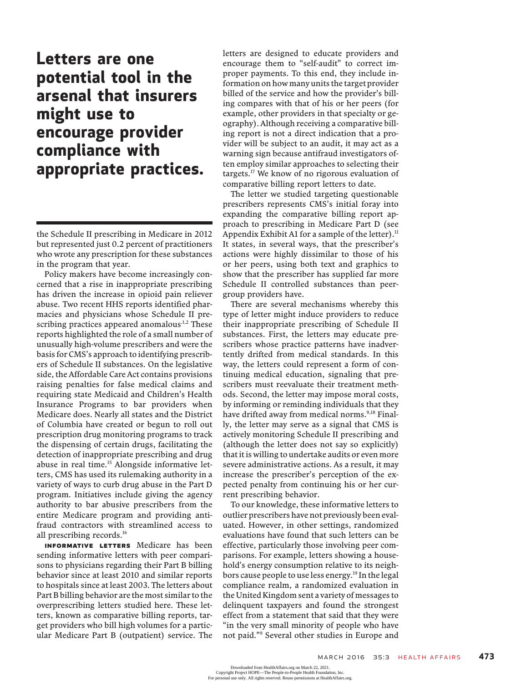# Letters are one potential tool in the arsenal that insurers might use to encourage provider compliance with appropriate practices.

the Schedule II prescribing in Medicare in 2012 but represented just 0.2 percent of practitioners who wrote any prescription for these substances in the program that year.

Policy makers have become increasingly concerned that a rise in inappropriate prescribing has driven the increase in opioid pain reliever abuse. Two recent HHS reports identified pharmacies and physicians whose Schedule II prescribing practices appeared anomalous $1,2$  These reports highlighted the role of a small number of unusually high-volume prescribers and were the basis for CMS's approach to identifying prescribers of Schedule II substances. On the legislative side, the Affordable Care Act contains provisions raising penalties for false medical claims and requiring state Medicaid and Children's Health Insurance Programs to bar providers when Medicare does. Nearly all states and the District of Columbia have created or begun to roll out prescription drug monitoring programs to track the dispensing of certain drugs, facilitating the detection of inappropriate prescribing and drug abuse in real time.<sup>15</sup> Alongside informative letters, CMS has used its rulemaking authority in a variety of ways to curb drug abuse in the Part D program. Initiatives include giving the agency authority to bar abusive prescribers from the entire Medicare program and providing antifraud contractors with streamlined access to all prescribing records.16

Informative Letters Medicare has been sending informative letters with peer comparisons to physicians regarding their Part B billing behavior since at least 2010 and similar reports to hospitals since at least 2003. The letters about Part B billing behavior are the most similar to the overprescribing letters studied here. These letters, known as comparative billing reports, target providers who bill high volumes for a particular Medicare Part B (outpatient) service. The

letters are designed to educate providers and encourage them to "self-audit" to correct improper payments. To this end, they include information on how many units the target provider billed of the service and how the provider's billing compares with that of his or her peers (for example, other providers in that specialty or geography). Although receiving a comparative billing report is not a direct indication that a provider will be subject to an audit, it may act as a warning sign because antifraud investigators often employ similar approaches to selecting their targets.17 We know of no rigorous evaluation of comparative billing report letters to date.

The letter we studied targeting questionable prescribers represents CMS's initial foray into expanding the comparative billing report approach to prescribing in Medicare Part D (see Appendix Exhibit A1 for a sample of the letter).<sup>11</sup> It states, in several ways, that the prescriber's actions were highly dissimilar to those of his or her peers, using both text and graphics to show that the prescriber has supplied far more Schedule II controlled substances than peergroup providers have.

There are several mechanisms whereby this type of letter might induce providers to reduce their inappropriate prescribing of Schedule II substances. First, the letters may educate prescribers whose practice patterns have inadvertently drifted from medical standards. In this way, the letters could represent a form of continuing medical education, signaling that prescribers must reevaluate their treatment methods. Second, the letter may impose moral costs, by informing or reminding individuals that they have drifted away from medical norms.<sup>9,18</sup> Finally, the letter may serve as a signal that CMS is actively monitoring Schedule II prescribing and (although the letter does not say so explicitly) that it is willing to undertake audits or even more severe administrative actions. As a result, it may increase the prescriber's perception of the expected penalty from continuing his or her current prescribing behavior.

To our knowledge, these informative letters to outlier prescribers have not previously been evaluated. However, in other settings, randomized evaluations have found that such letters can be effective, particularly those involving peer comparisons. For example, letters showing a household's energy consumption relative to its neighbors cause people to use less energy.19 In the legal compliance realm, a randomized evaluation in the United Kingdom sent a variety of messages to delinquent taxpayers and found the strongest effect from a statement that said that they were "in the very small minority of people who have not paid."<sup>9</sup> Several other studies in Europe and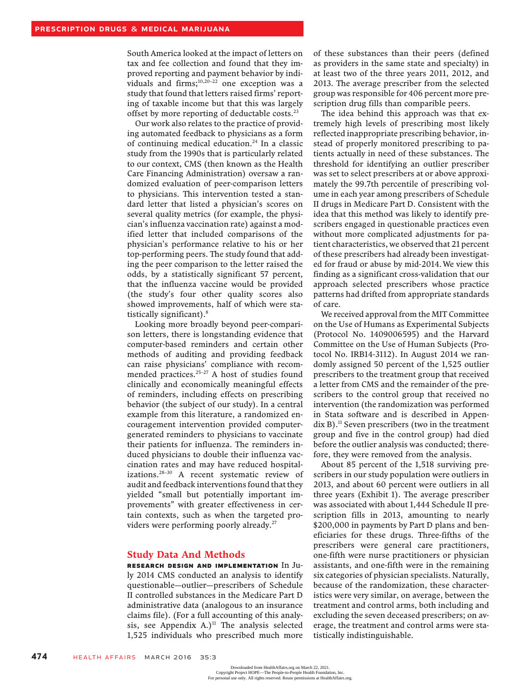South America looked at the impact of letters on tax and fee collection and found that they improved reporting and payment behavior by individuals and firms;<sup>10,20-22</sup> one exception was a study that found that letters raised firms' reporting of taxable income but that this was largely offset by more reporting of deductable costs.<sup>23</sup>

Our work also relates to the practice of providing automated feedback to physicians as a form of continuing medical education.<sup>24</sup> In a classic study from the 1990s that is particularly related to our context, CMS (then known as the Health Care Financing Administration) oversaw a randomized evaluation of peer-comparison letters to physicians. This intervention tested a standard letter that listed a physician's scores on several quality metrics (for example, the physician's influenza vaccination rate) against a modified letter that included comparisons of the physician's performance relative to his or her top-performing peers. The study found that adding the peer comparison to the letter raised the odds, by a statistically significant 57 percent, that the influenza vaccine would be provided (the study's four other quality scores also showed improvements, half of which were statistically significant).8

Looking more broadly beyond peer-comparison letters, there is longstanding evidence that computer-based reminders and certain other methods of auditing and providing feedback can raise physicians' compliance with recommended practices.25–<sup>27</sup> A host of studies found clinically and economically meaningful effects of reminders, including effects on prescribing behavior (the subject of our study). In a central example from this literature, a randomized encouragement intervention provided computergenerated reminders to physicians to vaccinate their patients for influenza. The reminders induced physicians to double their influenza vaccination rates and may have reduced hospitalizations.28–<sup>30</sup> A recent systematic review of audit and feedback interventions found that they yielded "small but potentially important improvements" with greater effectiveness in certain contexts, such as when the targeted providers were performing poorly already.<sup>27</sup>

# Study Data And Methods

Research Design And Implementation In July 2014 CMS conducted an analysis to identify questionable—outlier—prescribers of Schedule II controlled substances in the Medicare Part D administrative data (analogous to an insurance claims file). (For a full accounting of this analysis, see Appendix A.)<sup>11</sup> The analysis selected 1,525 individuals who prescribed much more

of these substances than their peers (defined as providers in the same state and specialty) in at least two of the three years 2011, 2012, and 2013. The average prescriber from the selected group was responsible for 406 percent more prescription drug fills than comparible peers.

The idea behind this approach was that extremely high levels of prescribing most likely reflected inappropriate prescribing behavior, instead of properly monitored prescribing to patients actually in need of these substances. The threshold for identifying an outlier prescriber was set to select prescribers at or above approximately the 99.7th percentile of prescribing volume in each year among prescribers of Schedule II drugs in Medicare Part D. Consistent with the idea that this method was likely to identify prescribers engaged in questionable practices even without more complicated adjustments for patient characteristics, we observed that 21 percent of these prescribers had already been investigated for fraud or abuse by mid-2014. We view this finding as a significant cross-validation that our approach selected prescribers whose practice patterns had drifted from appropriate standards of care.

We received approval from the MIT Committee on the Use of Humans as Experimental Subjects (Protocol No. 1409006595) and the Harvard Committee on the Use of Human Subjects (Protocol No. IRB14-3112). In August 2014 we randomly assigned 50 percent of the 1,525 outlier prescribers to the treatment group that received a letter from CMS and the remainder of the prescribers to the control group that received no intervention (the randomization was performed in Stata software and is described in Appen- $\frac{d}{dx}$  B).<sup>11</sup> Seven prescribers (two in the treatment group and five in the control group) had died before the outlier analysis was conducted; therefore, they were removed from the analysis.

About 85 percent of the 1,518 surviving prescribers in our study population were outliers in 2013, and about 60 percent were outliers in all three years (Exhibit 1). The average prescriber was associated with about 1,444 Schedule II prescription fills in 2013, amounting to nearly \$200,000 in payments by Part D plans and beneficiaries for these drugs. Three-fifths of the prescribers were general care practitioners, one-fifth were nurse practitioners or physician assistants, and one-fifth were in the remaining six categories of physician specialists. Naturally, because of the randomization, these characteristics were very similar, on average, between the treatment and control arms, both including and excluding the seven deceased prescribers; on average, the treatment and control arms were statistically indistinguishable.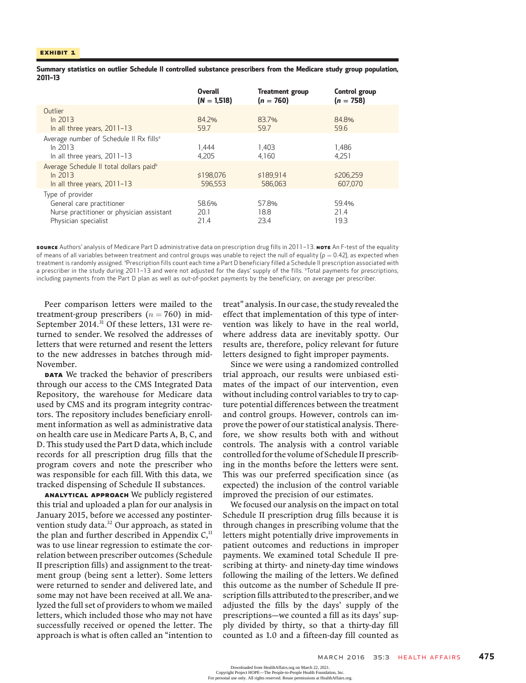|                                                                                                                    | <b>Overall</b><br>$(N = 1,518)$ | <b>Treatment group</b><br>$(n = 760)$ | Control group<br>$(n = 758)$ |
|--------------------------------------------------------------------------------------------------------------------|---------------------------------|---------------------------------------|------------------------------|
| Outlier<br>ln 2013<br>In all three years, $2011-13$                                                                | 84.2%<br>59.7                   | 83.7%<br>59.7                         | 84.8%<br>59.6                |
| Average number of Schedule II Rx fills <sup>a</sup><br>ln 2013<br>In all three years, $2011-13$                    | 1.444<br>4.205                  | 1.403<br>4.160                        | 1.486<br>4.251               |
| Average Schedule II total dollars paid <sup>b</sup><br>ln 2013<br>In all three years, $2011-13$                    | \$198,076<br>596.553            | \$189,914<br>586,063                  | \$206,259<br>607,070         |
| Type of provider<br>General care practitioner<br>Nurse practitioner or physician assistant<br>Physician specialist | 58.6%<br>20.1<br>21.4           | 57.8%<br>18.8<br>23.4                 | 59.4%<br>21.4<br>19.3        |

Summary statistics on outlier Schedule II controlled substance prescribers from the Medicare study group population, <sup>2011</sup>–<sup>13</sup>

source Authors' analysis of Medicare Part D administrative data on prescription drug fills in 2011-13. NOTE An F-test of the equality of means of all variables between treatment and control groups was unable to reject the null of equality ( $p = 0.42$ ), as expected when treatment is randomly assigned. ªPrescription fills count each time a Part D beneficiary filled a Schedule II prescription associated with deathent is randomly assigned. Frescription ritis count each time a rart D benerictary nited a Scheddle in prescription associated with<br>a prescriber in the study during 2011–13 and were not adjusted for the days' supply of including payments from the Part D plan as well as out-of-pocket payments by the beneficiary, on average per prescriber.

Peer comparison letters were mailed to the treatment-group prescribers ( $n = 760$ ) in mid-September 2014.<sup>31</sup> Of these letters, 131 were returned to sender. We resolved the addresses of letters that were returned and resent the letters to the new addresses in batches through mid-November.

**DATA** We tracked the behavior of prescribers through our access to the CMS Integrated Data Repository, the warehouse for Medicare data used by CMS and its program integrity contractors. The repository includes beneficiary enrollment information as well as administrative data on health care use in Medicare Parts A, B, C, and D. This study used the Part D data, which include records for all prescription drug fills that the program covers and note the prescriber who was responsible for each fill. With this data, we tracked dispensing of Schedule II substances.

Analytical Approach We publicly registered this trial and uploaded a plan for our analysis in January 2015, before we accessed any postintervention study data.<sup>32</sup> Our approach, as stated in the plan and further described in Appendix  $C<sub>1</sub>$ <sup>11</sup> was to use linear regression to estimate the correlation between prescriber outcomes (Schedule II prescription fills) and assignment to the treatment group (being sent a letter). Some letters were returned to sender and delivered late, and some may not have been received at all.We analyzed the full set of providers to whom we mailed letters, which included those who may not have successfully received or opened the letter. The approach is what is often called an "intention to

treat" analysis. In our case, the study revealed the effect that implementation of this type of intervention was likely to have in the real world, where address data are inevitably spotty. Our results are, therefore, policy relevant for future letters designed to fight improper payments.

Since we were using a randomized controlled trial approach, our results were unbiased estimates of the impact of our intervention, even without including control variables to try to capture potential differences between the treatment and control groups. However, controls can improve the power of our statistical analysis. Therefore, we show results both with and without controls. The analysis with a control variable controlled for the volume of Schedule II prescribing in the months before the letters were sent. This was our preferred specification since (as expected) the inclusion of the control variable improved the precision of our estimates.

We focused our analysis on the impact on total Schedule II prescription drug fills because it is through changes in prescribing volume that the letters might potentially drive improvements in patient outcomes and reductions in improper payments. We examined total Schedule II prescribing at thirty- and ninety-day time windows following the mailing of the letters. We defined this outcome as the number of Schedule II prescription fills attributed to the prescriber, and we adjusted the fills by the days' supply of the prescriptions—we counted a fill as its days' supply divided by thirty, so that a thirty-day fill counted as 1.0 and a fifteen-day fill counted as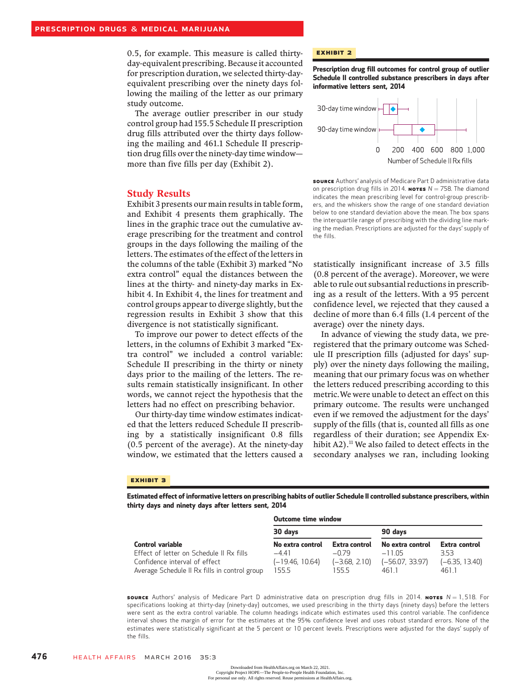0.5, for example. This measure is called thirtyday-equivalent prescribing. Because it accounted for prescription duration, we selected thirty-dayequivalent prescribing over the ninety days following the mailing of the letter as our primary study outcome.

The average outlier prescriber in our study control group had 155.5 Schedule II prescription drug fills attributed over the thirty days following the mailing and 461.1 Schedule II prescription drug fills over the ninety-day time window more than five fills per day (Exhibit 2).

# Study Results

Exhibit 3 presents our main results in table form, and Exhibit 4 presents them graphically. The lines in the graphic trace out the cumulative average prescribing for the treatment and control groups in the days following the mailing of the letters. The estimates of the effect of the letters in the columns of the table (Exhibit 3) marked "No extra control" equal the distances between the lines at the thirty- and ninety-day marks in Exhibit 4. In Exhibit 4, the lines for treatment and control groups appear to diverge slightly, but the regression results in Exhibit 3 show that this divergence is not statistically significant.

To improve our power to detect effects of the letters, in the columns of Exhibit 3 marked "Extra control" we included a control variable: Schedule II prescribing in the thirty or ninety days prior to the mailing of the letters. The results remain statistically insignificant. In other words, we cannot reject the hypothesis that the letters had no effect on prescribing behavior.

Our thirty-day time window estimates indicated that the letters reduced Schedule II prescribing by a statistically insignificant 0.8 fills (0.5 percent of the average). At the ninety-day window, we estimated that the letters caused a

### Exhibit 2





**source** Authors' analysis of Medicare Part D administrative data on prescription drug fills in 2014. **NOTES**  $N = 758$ . The diamond indicates the mean prescribing level for control-group prescribers, and the whiskers show the range of one standard deviation below to one standard deviation above the mean. The box spans the interquartile range of prescribing with the dividing line marking the median. Prescriptions are adjusted for the days' supply of the fills.

statistically insignificant increase of 3.5 fills (0.8 percent of the average). Moreover, we were able to rule out subsantial reductions in prescribing as a result of the letters. With a 95 percent confidence level, we rejected that they caused a decline of more than 6.4 fills (1.4 percent of the average) over the ninety days.

In advance of viewing the study data, we preregistered that the primary outcome was Schedule II prescription fills (adjusted for days' supply) over the ninety days following the mailing, meaning that our primary focus was on whether the letters reduced prescribing according to this metric.We were unable to detect an effect on this primary outcome. The results were unchanged even if we removed the adjustment for the days' supply of the fills (that is, counted all fills as one regardless of their duration; see Appendix Exhibit A2). $<sup>11</sup>$  We also failed to detect effects in the</sup> secondary analyses we ran, including looking

#### Exhibit 3

Estimated effect of informative letters on prescribing habits of outlier Schedule II controlled substance prescribers, within thirty days and ninety days after letters sent, 2014

|                                                                                                                                                | <b>Outcome time window</b>                               |                                                     |                                                            |                                                    |  |
|------------------------------------------------------------------------------------------------------------------------------------------------|----------------------------------------------------------|-----------------------------------------------------|------------------------------------------------------------|----------------------------------------------------|--|
|                                                                                                                                                | 30 days                                                  |                                                     | 90 days                                                    |                                                    |  |
| Control variable<br>Effect of letter on Schedule II Rx fills<br>Confidence interval of effect<br>Average Schedule II Rx fills in control group | No extra control<br>$-441$<br>$(-19.46, 10.64)$<br>155.5 | Extra control<br>$-0.79$<br>$(-3.68, 2.10)$<br>1555 | No extra control<br>$-11.05$<br>$(-56.07, 33.97)$<br>461.1 | Extra control<br>3.53<br>$(-6.35, 13.40)$<br>461.1 |  |

**SOURCE** Authors' analysis of Medicare Part D administrative data on prescription drug fills in 2014. NOTES  $N = 1,518$ . For specifications looking at thirty-day (ninety-day) outcomes, we used prescribing in the thirty days (ninety days) before the letters were sent as the extra control variable. The column headings indicate which estimates used this control variable. The confidence interval shows the margin of error for the estimates at the 95% confidence level and uses robust standard errors. None of the estimates were statistically significant at the 5 percent or 10 percent levels. Prescriptions were adjusted for the days' supply of the fills.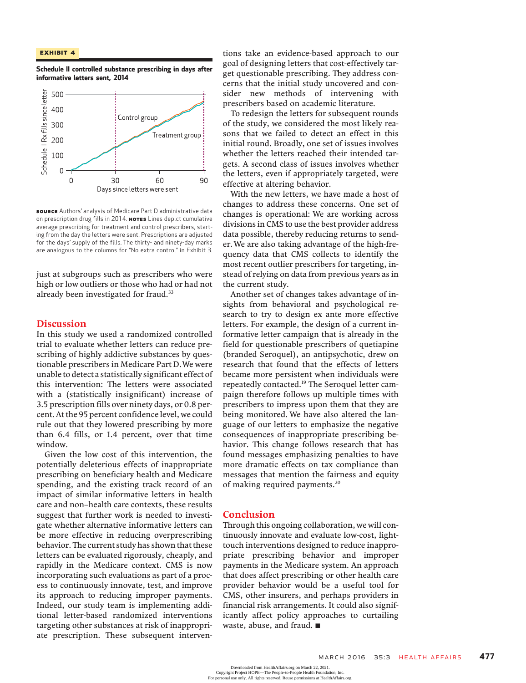#### Exhibit 4

Schedule II controlled substance prescribing in days after informative letters sent, 2014



source Authors' analysis of Medicare Part D administrative data on prescription drug fills in 2014. NoTES Lines depict cumulative average prescribing for treatment and control prescribers, starting from the day the letters were sent. Prescriptions are adjusted for the days' supply of the fills. The thirty- and ninety-day marks are analogous to the columns for "No extra control" in Exhibit 3.

just at subgroups such as prescribers who were high or low outliers or those who had or had not already been investigated for fraud.<sup>33</sup>

# **Discussion**

In this study we used a randomized controlled trial to evaluate whether letters can reduce prescribing of highly addictive substances by questionable prescribers in Medicare Part D.We were unable to detect a statistically significant effect of this intervention: The letters were associated with a (statistically insignificant) increase of 3.5 prescription fills over ninety days, or 0.8 percent. At the 95 percent confidence level, we could rule out that they lowered prescribing by more than 6.4 fills, or 1.4 percent, over that time window.

Given the low cost of this intervention, the potentially deleterious effects of inappropriate prescribing on beneficiary health and Medicare spending, and the existing track record of an impact of similar informative letters in health care and non–health care contexts, these results suggest that further work is needed to investigate whether alternative informative letters can be more effective in reducing overprescribing behavior. The current study has shown that these letters can be evaluated rigorously, cheaply, and rapidly in the Medicare context. CMS is now incorporating such evaluations as part of a process to continuously innovate, test, and improve its approach to reducing improper payments. Indeed, our study team is implementing additional letter-based randomized interventions targeting other substances at risk of inappropriate prescription. These subsequent interventions take an evidence-based approach to our goal of designing letters that cost-effectively target questionable prescribing. They address concerns that the initial study uncovered and consider new methods of intervening with prescribers based on academic literature.

To redesign the letters for subsequent rounds of the study, we considered the most likely reasons that we failed to detect an effect in this initial round. Broadly, one set of issues involves whether the letters reached their intended targets. A second class of issues involves whether the letters, even if appropriately targeted, were effective at altering behavior.

With the new letters, we have made a host of changes to address these concerns. One set of changes is operational: We are working across divisions in CMS to use the best provider address data possible, thereby reducing returns to sender.We are also taking advantage of the high-frequency data that CMS collects to identify the most recent outlier prescribers for targeting, instead of relying on data from previous years as in the current study.

Another set of changes takes advantage of insights from behavioral and psychological research to try to design ex ante more effective letters. For example, the design of a current informative letter campaign that is already in the field for questionable prescribers of quetiapine (branded Seroquel), an antipsychotic, drew on research that found that the effects of letters became more persistent when individuals were repeatedly contacted.19 The Seroquel letter campaign therefore follows up multiple times with prescribers to impress upon them that they are being monitored. We have also altered the language of our letters to emphasize the negative consequences of inappropriate prescribing behavior. This change follows research that has found messages emphasizing penalties to have more dramatic effects on tax compliance than messages that mention the fairness and equity of making required payments.<sup>20</sup>

# Conclusion

Through this ongoing collaboration, we will continuously innovate and evaluate low-cost, lighttouch interventions designed to reduce inappropriate prescribing behavior and improper payments in the Medicare system. An approach that does affect prescribing or other health care provider behavior would be a useful tool for CMS, other insurers, and perhaps providers in financial risk arrangements. It could also significantly affect policy approaches to curtailing waste, abuse, and fraud.  $\blacksquare$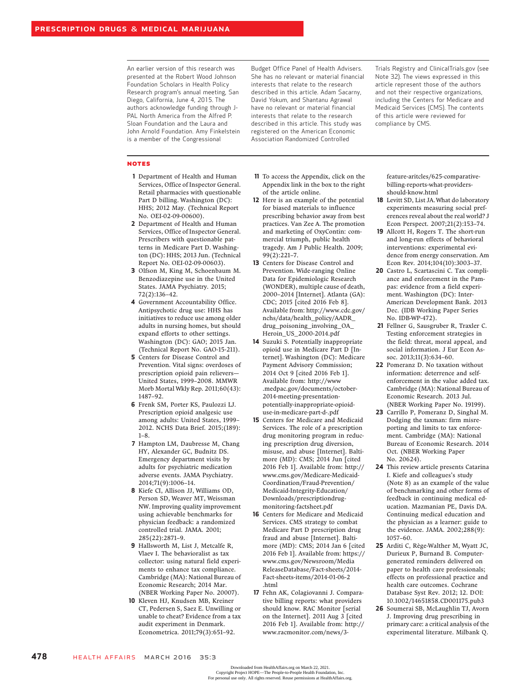An earlier version of this research was presented at the Robert Wood Johnson Foundation Scholars in Health Policy Research program's annual meeting, San Diego, California, June 4, 2015. The authors acknowledge funding through J-PAL North America from the Alfred P. Sloan Foundation and the Laura and John Arnold Foundation. Amy Finkelstein is a member of the Congressional

Budget Office Panel of Health Advisers. She has no relevant or material financial interests that relate to the research described in this article. Adam Sacarny, David Yokum, and Shantanu Agrawal have no relevant or material financial interests that relate to the research described in this article. This study was registered on the American Economic Association Randomized Controlled

Trials Registry and ClinicalTrials.gov (see Note 32). The views expressed in this article represent those of the authors and not their respective organizations, including the Centers for Medicare and Medicaid Services (CMS). The contents of this article were reviewed for compliance by CMS.

#### NOTES

- 1 Department of Health and Human Services, Office of Inspector General. Retail pharmacies with questionable Part D billing. Washington (DC): HHS; 2012 May. (Technical Report No. OEI-02-09-00600).
- 2 Department of Health and Human Services, Office of Inspector General. Prescribers with questionable patterns in Medicare Part D. Washington (DC): HHS; 2013 Jun. (Technical Report No. OEI-02-09-00603).
- 3 Olfson M, King M, Schoenbaum M. Benzodiazepine use in the United States. JAMA Psychiatry. 2015; 72(2):136–42.
- 4 Government Accountability Office. Antipsychotic drug use: HHS has initiatives to reduce use among older adults in nursing homes, but should expand efforts to other settings. Washington (DC): GAO; 2015 Jan. (Technical Report No. GAO-15-211).
- 5 Centers for Disease Control and Prevention. Vital signs: overdoses of prescription opioid pain relievers— United States, 1999–2008. MMWR Morb Mortal Wkly Rep. 2011;60(43): 1487–92.
- 6 Frenk SM, Porter KS, Paulozzi LJ. Prescription opioid analgesic use among adults: United States, 1999– 2012. NCHS Data Brief. 2015;(189): 1–8.
- 7 Hampton LM, Daubresse M, Chang HY, Alexander GC, Budnitz DS. Emergency department visits by adults for psychiatric medication adverse events. JAMA Psychiatry. 2014;71(9):1006–14.
- 8 Kiefe CI, Allison JJ, Williams OD, Person SD, Weaver MT, Weissman NW. Improving quality improvement using achievable benchmarks for physician feedback: a randomized controlled trial. JAMA. 2001; 285(22):2871–9.
- 9 Hallsworth M, List J, Metcalfe R, Vlaev I. The behavioralist as tax collector: using natural field experiments to enhance tax compliance. Cambridge (MA): National Bureau of Economic Research; 2014 Mar. (NBER Working Paper No. 20007).
- 10 Kleven HJ, Knudsen MB, Kreiner CT, Pedersen S, Saez E. Unwilling or unable to cheat? Evidence from a tax audit experiment in Denmark. Econometrica. 2011;79(3):651–92.
- 11 To access the Appendix, click on the Appendix link in the box to the right of the article online.
- 12 Here is an example of the potential for biased materials to influence prescribing behavior away from best practices. Van Zee A. The promotion and marketing of OxyContin: commercial triumph, public health tragedy. Am J Public Health. 2009; 99(2):221–7.
- 13 Centers for Disease Control and Prevention. Wide-ranging Online Data for Epidemiologic Research (WONDER), multiple cause of death, 2000–2014 [Internet]. Atlanta (GA): CDC; 2015 [cited 2016 Feb 8]. Available from: http://www.cdc.gov/ nchs/data/health\_policy/AADR\_ drug\_poisoning\_involving\_OA\_ Heroin\_US\_2000-2014.pdf
- 14 Suzuki S. Potentially inappropriate opioid use in Medicare Part D [Internet]. Washington (DC): Medicare Payment Advisory Commission; 2014 Oct 9 [cited 2016 Feb 1]. Available from: http://www .medpac.gov/documents/october-2014-meeting-presentationpotentially-inappropriate-opioiduse-in-medicare-part-d-.pdf
- 15 Centers for Medicare and Medicaid Services. The role of a prescription drug monitoring program in reducing prescription drug diversion, misuse, and abuse [Internet]. Baltimore (MD): CMS; 2014 Jun [cited 2016 Feb 1]. Available from: http:// www.cms.gov/Medicare-Medicaid-Coordination/Fraud-Prevention/ Medicaid-Integrity-Education/ Downloads/prescriptiondrugmonitoring-factsheet.pdf
- 16 Centers for Medicare and Medicaid Services. CMS strategy to combat Medicare Part D prescription drug fraud and abuse [Internet]. Baltimore (MD): CMS; 2014 Jan 6 [cited 2016 Feb 1]. Available from: https:// www.cms.gov/Newsroom/Media ReleaseDatabase/Fact-sheets/2014- Fact-sheets-items/2014-01-06-2 .html
- 17 Fehn AK, Colagiovanni J. Comparative billing reports: what providers should know. RAC Monitor [serial on the Internet]. 2011 Aug 3 [cited 2016 Feb 1]. Available from: http:// www.racmonitor.com/news/3-

feature-aritcles/625-comparativebilling-reports-what-providersshould-know.html

- 18 Levitt SD, List JA.What do laboratory experiments measuring social preferences reveal about the real world? J Econ Perspect. 2007;21(2):153–74.
- 19 Allcott H, Rogers T. The short-run and long-run effects of behavioral interventions: experimental evidence from energy conservation. Am Econ Rev. 2014;104(10):3003–37.
- 20 Castro L, Scartascini C. Tax compliance and enforcement in the Pampas: evidence from a field experiment. Washington (DC): Inter-American Development Bank. 2013 Dec. (IDB Working Paper Series No. IDB-WP-472).
- 21 Fellner G, Sausgruber R, Traxler C. Testing enforcement strategies in the field: threat, moral appeal, and social information. J Eur Econ Assoc. 2013;11(3):634–60.
- 22 Pomeranz D. No taxation without information: deterrence and selfenforcement in the value added tax. Cambridge (MA): National Bureau of Economic Research. 2013 Jul. (NBER Working Paper No. 19199).
- 23 Carrillo P, Pomeranz D, Singhal M. Dodging the taxman: firm misreporting and limits to tax enforcement. Cambridge (MA): National Bureau of Economic Research. 2014 Oct. (NBER Working Paper No. 20624).
- 24 This review article presents Catarina I. Kiefe and colleagues's study (Note 8) as an example of the value of benchmarking and other forms of feedback in continuing medical education. Mazmanian PE, Davis DA. Continuing medical education and the physician as a learner: guide to the evidence. JAMA. 2002;288(9): 1057–60.
- 25 Arditi C, Rège-Walther M, Wyatt JC, Durieux P, Burnand B. Computergenerated reminders delivered on paper to health care professionals; effects on professional practice and health care outcomes. Cochrane Database Syst Rev. 2012; 12. DOI: 10.1002/14651858.CD001175.pub3
- 26 Soumerai SB, McLaughlin TJ, Avorn J. Improving drug prescribing in primary care: a critical analysis of the experimental literature. Milbank Q.